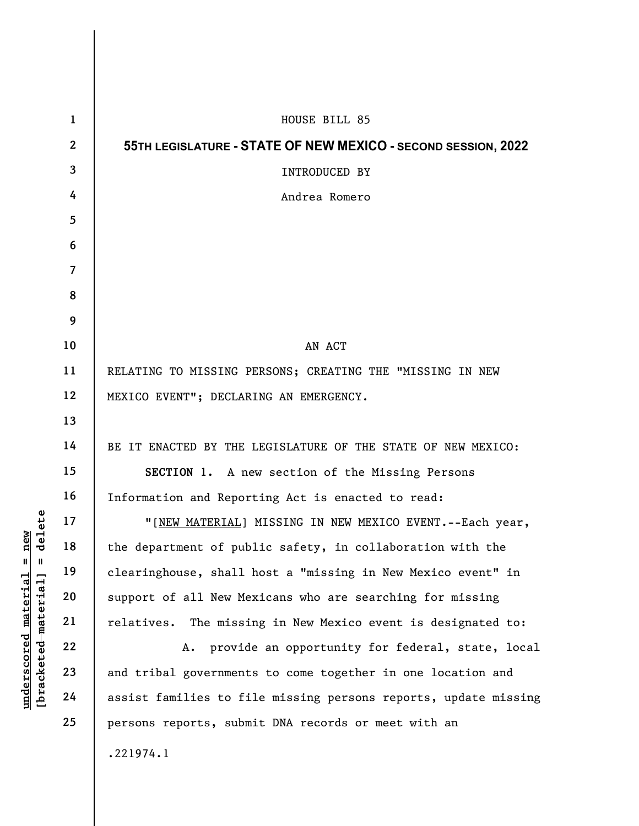|                                     | $\mathbf{1}$    | HOUSE BILL 85                                                   |
|-------------------------------------|-----------------|-----------------------------------------------------------------|
|                                     | $\mathbf{2}$    | 55TH LEGISLATURE - STATE OF NEW MEXICO - SECOND SESSION, 2022   |
|                                     | $\mathbf{3}$    | INTRODUCED BY                                                   |
|                                     | 4               | Andrea Romero                                                   |
|                                     | $5\overline{)}$ |                                                                 |
|                                     | 6               |                                                                 |
|                                     | $\overline{7}$  |                                                                 |
|                                     | 8               |                                                                 |
|                                     | 9               |                                                                 |
|                                     | 10              | AN ACT                                                          |
| delete                              | 11              | RELATING TO MISSING PERSONS; CREATING THE "MISSING IN NEW       |
|                                     | 12              | MEXICO EVENT"; DECLARING AN EMERGENCY.                          |
|                                     | 13              |                                                                 |
|                                     | 14              | BE IT ENACTED BY THE LEGISLATURE OF THE STATE OF NEW MEXICO:    |
|                                     | 15              | SECTION 1. A new section of the Missing Persons                 |
|                                     | 16              | Information and Reporting Act is enacted to read:               |
|                                     | 17              | "[NEW MATERIAL] MISSING IN NEW MEXICO EVENT. -- Each year,      |
| new                                 | 18              | the department of public safety, in collaboration with the      |
| $^{\mathsf{II}}$<br>Ш               | 19              | clearinghouse, shall host a "missing in New Mexico event" in    |
| material                            | 20              | support of all New Mexicans who are searching for missing       |
|                                     | 21              | relatives. The missing in New Mexico event is designated to:    |
|                                     | 22              | A. provide an opportunity for federal, state, local             |
|                                     | 23              | and tribal governments to come together in one location and     |
| [bracketed material]<br>underscored | 24              | assist families to file missing persons reports, update missing |
|                                     | 25              | persons reports, submit DNA records or meet with an             |
|                                     |                 | .221974.1                                                       |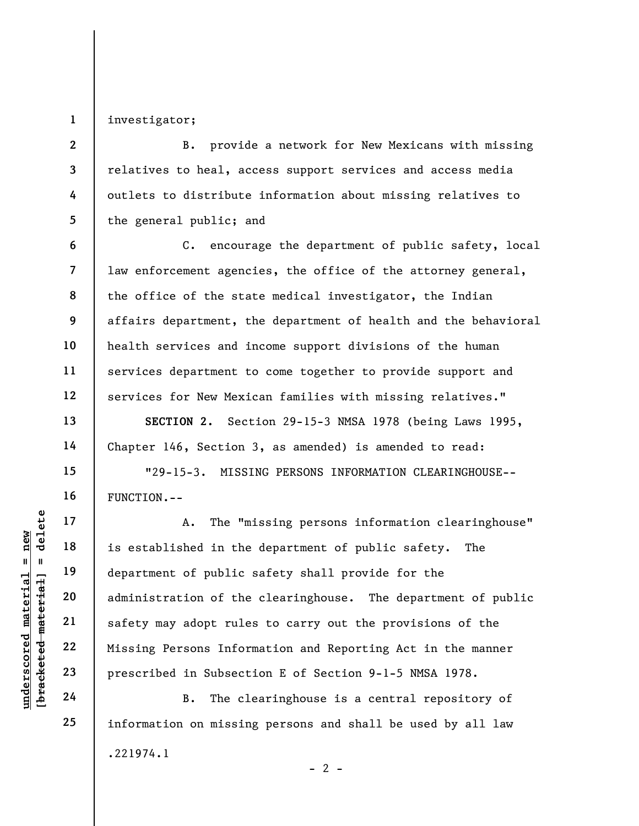1 investigator;

2

3

4

5

6

7

8

9

10

11

12

13

14

15

16

17

18

19

20

21

22

23

24

25

B. provide a network for New Mexicans with missing relatives to heal, access support services and access media outlets to distribute information about missing relatives to the general public; and

C. encourage the department of public safety, local law enforcement agencies, the office of the attorney general, the office of the state medical investigator, the Indian affairs department, the department of health and the behavioral health services and income support divisions of the human services department to come together to provide support and services for New Mexican families with missing relatives."

SECTION 2. Section 29-15-3 NMSA 1978 (being Laws 1995, Chapter 146, Section 3, as amended) is amended to read:

"29-15-3. MISSING PERSONS INFORMATION CLEARINGHOUSE-- FUNCTION.--

under 17<br>
and 18<br>
is established in the<br>
department of public<br>
department of public<br>
administration of the<br>
safety may adopt rule<br>
safety may adopt rule<br>
22<br>
Missing Persons Infor<br>
23<br>
Prescribed in Subsect<br>
24<br>
B. The cl A. The "missing persons information clearinghouse" is established in the department of public safety. The department of public safety shall provide for the administration of the clearinghouse. The department of public safety may adopt rules to carry out the provisions of the Missing Persons Information and Reporting Act in the manner prescribed in Subsection E of Section 9-1-5 NMSA 1978.

B. The clearinghouse is a central repository of information on missing persons and shall be used by all law .221974.1  $- 2 -$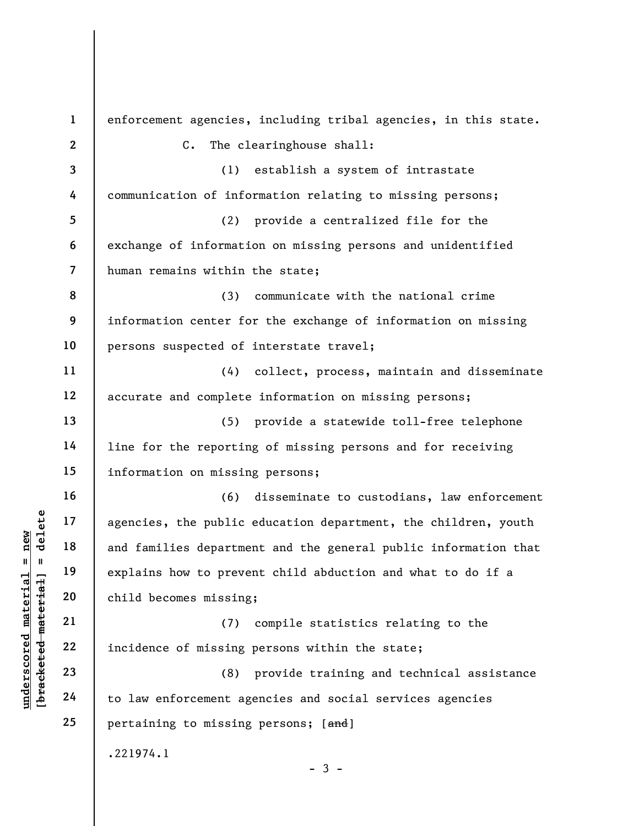under 17<br>
and families department<br>
and families department<br>
explains how to preve<br>
explains how to preve<br>
explains how to preve<br>
child becomes missing<br>
21<br>
22<br>
incidence of missing<br>
23<br>
24<br>
to law enforcement age 1 2 3 4 5 6 7 8 9 10 11 12 13 14 15 16 17 18 19 20 21 22 23 24 25 enforcement agencies, including tribal agencies, in this state. C. The clearinghouse shall: (1) establish a system of intrastate communication of information relating to missing persons; (2) provide a centralized file for the exchange of information on missing persons and unidentified human remains within the state; (3) communicate with the national crime information center for the exchange of information on missing persons suspected of interstate travel; (4) collect, process, maintain and disseminate accurate and complete information on missing persons; (5) provide a statewide toll-free telephone line for the reporting of missing persons and for receiving information on missing persons; (6) disseminate to custodians, law enforcement agencies, the public education department, the children, youth and families department and the general public information that explains how to prevent child abduction and what to do if a child becomes missing; (7) compile statistics relating to the incidence of missing persons within the state; (8) provide training and technical assistance to law enforcement agencies and social services agencies pertaining to missing persons; [and] .221974.1  $-3 -$